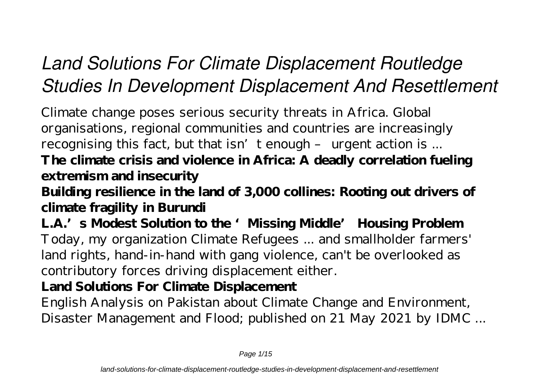# *Land Solutions For Climate Displacement Routledge Studies In Development Displacement And Resettlement*

Climate change poses serious security threats in Africa. Global organisations, regional communities and countries are increasingly recognising this fact, but that isn't enough - urgent action is ... **The climate crisis and violence in Africa: A deadly correlation fueling extremism and insecurity**

**Building resilience in the land of 3,000 collines: Rooting out drivers of climate fragility in Burundi**

L.A.'s Modest Solution to the 'Missing Middle' Housing Problem Today, my organization Climate Refugees ... and smallholder farmers' land rights, hand-in-hand with gang violence, can't be overlooked as contributory forces driving displacement either.

**Land Solutions For Climate Displacement**

English Analysis on Pakistan about Climate Change and Environment, Disaster Management and Flood; published on 21 May 2021 by IDMC ...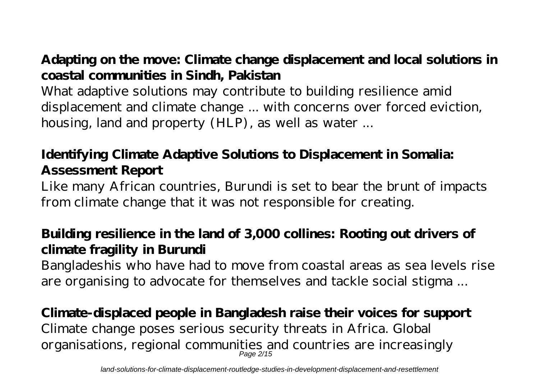# **Adapting on the move: Climate change displacement and local solutions in coastal communities in Sindh, Pakistan**

What adaptive solutions may contribute to building resilience amid displacement and climate change ... with concerns over forced eviction, housing, land and property (HLP), as well as water ...

### **Identifying Climate Adaptive Solutions to Displacement in Somalia: Assessment Report**

Like many African countries, Burundi is set to bear the brunt of impacts from climate change that it was not responsible for creating.

# **Building resilience in the land of 3,000 collines: Rooting out drivers of climate fragility in Burundi**

Bangladeshis who have had to move from coastal areas as sea levels rise are organising to advocate for themselves and tackle social stigma ...

#### **Climate-displaced people in Bangladesh raise their voices for support** Climate change poses serious security threats in Africa. Global organisations, regional communities and countries are increasingly

Page 2/15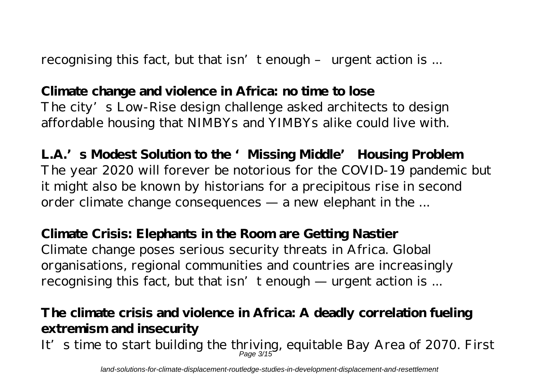recognising this fact, but that isn't enough – urgent action is ...

# **Climate change and violence in Africa: no time to lose**

The city's Low-Rise design challenge asked architects to design affordable housing that NIMBYs and YIMBYs alike could live with.

L.A.'s Modest Solution to the 'Missing Middle' Housing Problem The year 2020 will forever be notorious for the COVID-19 pandemic but it might also be known by historians for a precipitous rise in second order climate change consequences — a new elephant in the ...

**Climate Crisis: Elephants in the Room are Getting Nastier** Climate change poses serious security threats in Africa. Global organisations, regional communities and countries are increasingly recognising this fact, but that  $\text{isn'}$  t enough — urgent action is ...

#### **The climate crisis and violence in Africa: A deadly correlation fueling extremism and insecurity** It's time to start building the thriving, equitable Bay Area of 2070. First Page 3/15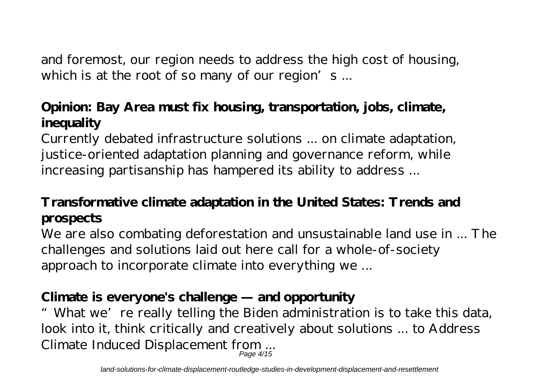and foremost, our region needs to address the high cost of housing, which is at the root of so many of our region's ...

## **Opinion: Bay Area must fix housing, transportation, jobs, climate, inequality**

Currently debated infrastructure solutions ... on climate adaptation, justice-oriented adaptation planning and governance reform, while increasing partisanship has hampered its ability to address ...

# **Transformative climate adaptation in the United States: Trends and prospects**

We are also combating deforestation and unsustainable land use in ... The challenges and solutions laid out here call for a whole-of-society approach to incorporate climate into everything we ...

## **Climate is everyone's challenge — and opportunity**

"What we're really telling the Biden administration is to take this data, look into it, think critically and creatively about solutions ... to Address Climate Induced Displacement from ... Page 4/15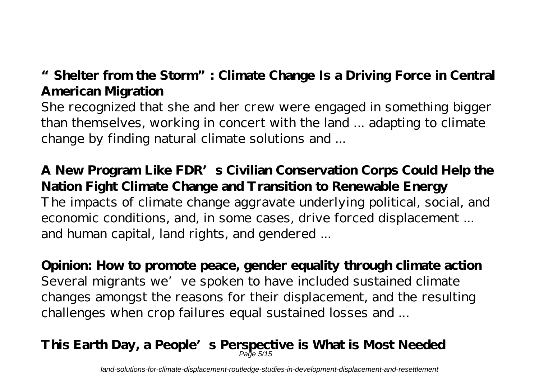# **"Shelter from the Storm": Climate Change Is a Driving Force in Central American Migration**

She recognized that she and her crew were engaged in something bigger than themselves, working in concert with the land ... adapting to climate change by finding natural climate solutions and ...

**A New Program Like FDR's Civilian Conservation Corps Could Help the Nation Fight Climate Change and Transition to Renewable Energy** The impacts of climate change aggravate underlying political, social, and economic conditions, and, in some cases, drive forced displacement ... and human capital, land rights, and gendered ...

**Opinion: How to promote peace, gender equality through climate action** Several migrants we've spoken to have included sustained climate changes amongst the reasons for their displacement, and the resulting challenges when crop failures equal sustained losses and ...

#### **This Earth Day, a People's Perspective is What is Most Needed** Page 5/15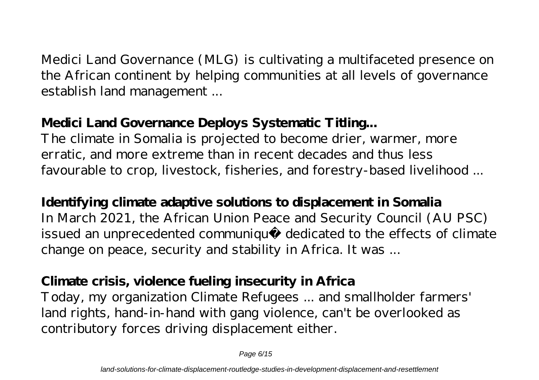Medici Land Governance (MLG) is cultivating a multifaceted presence on the African continent by helping communities at all levels of governance establish land management ...

### **Medici Land Governance Deploys Systematic Titling...**

The climate in Somalia is projected to become drier, warmer, more erratic, and more extreme than in recent decades and thus less favourable to crop, livestock, fisheries, and forestry-based livelihood ...

**Identifying climate adaptive solutions to displacement in Somalia** In March 2021, the African Union Peace and Security Council (AU PSC) issued an unprecedented communiqué dedicated to the effects of climate change on peace, security and stability in Africa. It was ...

### **Climate crisis, violence fueling insecurity in Africa**

Today, my organization Climate Refugees ... and smallholder farmers' land rights, hand-in-hand with gang violence, can't be overlooked as contributory forces driving displacement either.

Page 6/15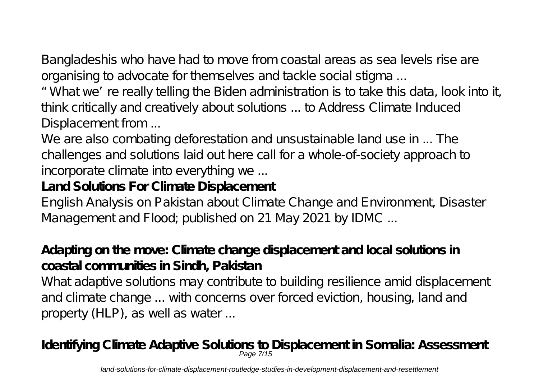Bangladeshis who have had to move from coastal areas as sea levels rise are organising to advocate for themselves and tackle social stigma ...

"What we're really telling the Biden administration is to take this data, look into it, think critically and creatively about solutions ... to Address Climate Induced Displacement from ...

We are also combating deforestation and unsustainable land use in ... The challenges and solutions laid out here call for a whole-of-society approach to incorporate climate into everything we ...

#### **Land Solutions For Climate Displacement**

English Analysis on Pakistan about Climate Change and Environment, Disaster Management and Flood; published on 21 May 2021 by IDMC ...

#### **Adapting on the move: Climate change displacement and local solutions in coastal communities in Sindh, Pakistan**

What adaptive solutions may contribute to building resilience amid displacement and climate change ... with concerns over forced eviction, housing, land and property (HLP), as well as water ...

# **Identifying Climate Adaptive Solutions to Displacement in Somalia: Assessment** Page 7/15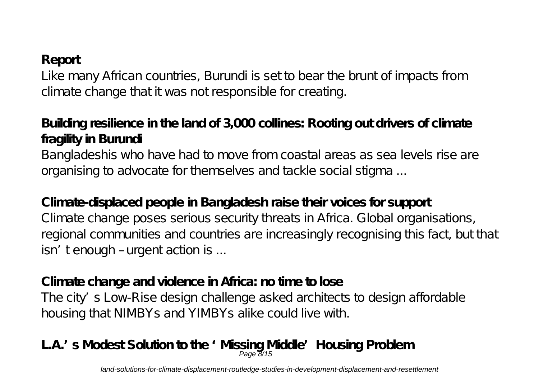#### **Report**

Like many African countries, Burundi is set to bear the brunt of impacts from climate change that it was not responsible for creating.

# **Building resilience in the land of 3,000 collines: Rooting out drivers of climate fragility in Burundi**

Bangladeshis who have had to move from coastal areas as sea levels rise are organising to advocate for themselves and tackle social stigma ...

**Climate-displaced people in Bangladesh raise their voices for support** Climate change poses serious security threats in Africa. Global organisations, regional communities and countries are increasingly recognising this fact, but that isn' tenough – urgent action is ...

**Climate change and violence in Africa: no time to lose** The city's Low-Rise design challenge asked architects to design affordable housing that NIMBYs and YIMBYs alike could live with.

# L.A.' s Modest Solution to the 'Missing Middle' Housing Problem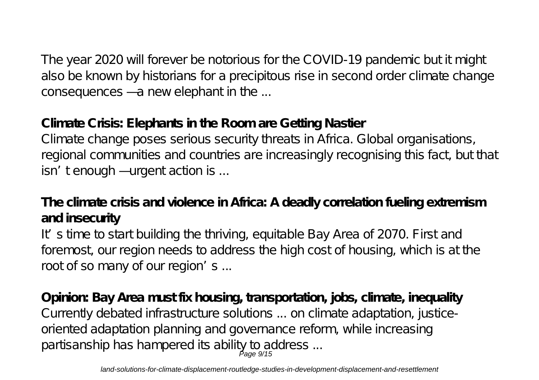The year 2020 will forever be notorious for the COVID-19 pandemic but it might also be known by historians for a precipitous rise in second order climate change consequences — a new elephant in the ...

#### **Climate Crisis: Elephants in the Room are Getting Nastier**

Climate change poses serious security threats in Africa. Global organisations, regional communities and countries are increasingly recognising this fact, but that isn' tenough — urgent action is ...

### **The climate crisis and violence in Africa: A deadly correlation fueling extremism and insecurity**

It's time to start building the thriving, equitable Bay Area of 2070. First and foremost, our region needs to address the high cost of housing, which is at the root of so many of our region's ...

**Opinion: Bay Area must fix housing, transportation, jobs, climate, inequality** Currently debated infrastructure solutions ... on climate adaptation, justiceoriented adaptation planning and governance reform, while increasing partisanship has hampered its ability to address ... Page 9/15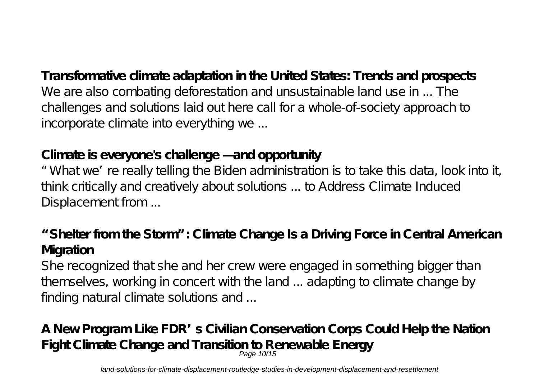**Transformative climate adaptation in the United States: Trends and prospects** We are also combating deforestation and unsustainable land use in ... The challenges and solutions laid out here call for a whole-of-society approach to incorporate climate into everything we ...

#### **Climate is everyone's challenge — and opportunity**

"What we're really telling the Biden administration is to take this data, look into it, think critically and creatively about solutions ... to Address Climate Induced Displacement from ...

**"Shelter from the Storm": Climate Change Is a Driving Force in Central American Migration**

She recognized that she and her crew were engaged in something bigger than themselves, working in concert with the land ... adapting to climate change by finding natural climate solutions and ...

**A New Program Like FDR's Civilian Conservation Corps Could Help the Nation Fight Climate Change and Transition to Renewable Energy** Page 10/15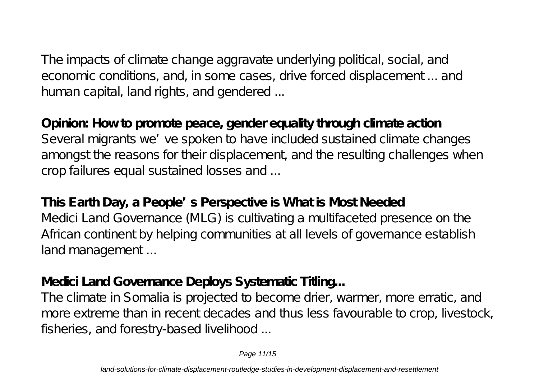The impacts of climate change aggravate underlying political, social, and economic conditions, and, in some cases, drive forced displacement ... and human capital, land rights, and gendered ...

**Opinion: How to promote peace, gender equality through climate action** Several migrants we've spoken to have included sustained climate changes amongst the reasons for their displacement, and the resulting challenges when crop failures equal sustained losses and ...

**This Earth Day, a People's Perspective is What is Most Needed** Medici Land Governance (MLG) is cultivating a multifaceted presence on the African continent by helping communities at all levels of governance establish land management...

#### **Medici Land Governance Deploys Systematic Titling...**

The climate in Somalia is projected to become drier, warmer, more erratic, and more extreme than in recent decades and thus less favourable to crop, livestock, fisheries, and forestry-based livelihood ...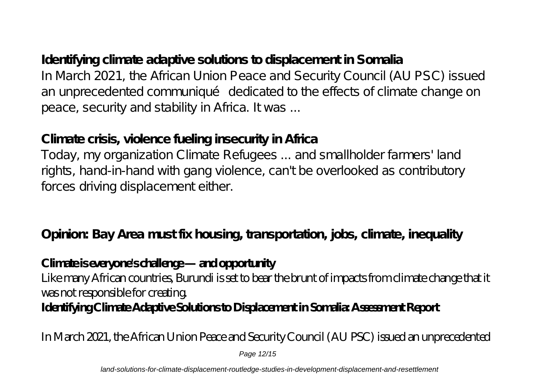### **Identifying climate adaptive solutions to displacement in Somalia** In March 2021, the African Union Peace and Security Council (AU PSC) issued an unprecedented communiqué dedicated to the effects of climate change on peace, security and stability in Africa. It was ...

#### **Climate crisis, violence fueling insecurity in Africa**

Today, my organization Climate Refugees ... and smallholder farmers' land rights, hand-in-hand with gang violence, can't be overlooked as contributory forces driving displacement either.

**Opinion: Bay Area must fix housing, transportation, jobs, climate, inequality**

#### **Climate is everyone's challenge — and opportunity**

Like many African countries, Burundi is set to bear the brunt of impacts from climate change that it was not responsible for creating.

#### **Identifying Climate Adaptive Solutions to Displacement in Somalia: Assessment Report**

In March 2021, the African Union Peace and Security Council (AU PSC) issued an unprecedented

Page 12/15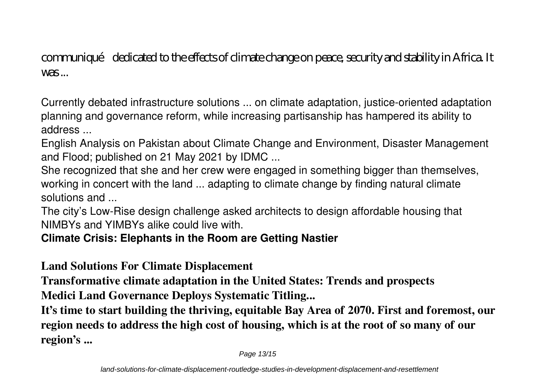communiqué dedicated to the effects of climate change on peace, security and stability in Africa. It  $WAS$ 

Currently debated infrastructure solutions ... on climate adaptation, justice-oriented adaptation planning and governance reform, while increasing partisanship has hampered its ability to address ...

English Analysis on Pakistan about Climate Change and Environment, Disaster Management and Flood; published on 21 May 2021 by IDMC ...

She recognized that she and her crew were engaged in something bigger than themselves, working in concert with the land ... adapting to climate change by finding natural climate solutions and ...

The city's Low-Rise design challenge asked architects to design affordable housing that NIMBYs and YIMBYs alike could live with.

#### **Climate Crisis: Elephants in the Room are Getting Nastier**

**Land Solutions For Climate Displacement**

**Transformative climate adaptation in the United States: Trends and prospects Medici Land Governance Deploys Systematic Titling...**

**It's time to start building the thriving, equitable Bay Area of 2070. First and foremost, our region needs to address the high cost of housing, which is at the root of so many of our region's ...**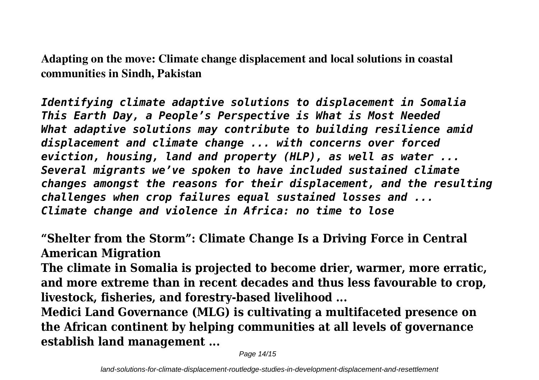**Adapting on the move: Climate change displacement and local solutions in coastal communities in Sindh, Pakistan**

*Identifying climate adaptive solutions to displacement in Somalia This Earth Day, a People's Perspective is What is Most Needed What adaptive solutions may contribute to building resilience amid displacement and climate change ... with concerns over forced eviction, housing, land and property (HLP), as well as water ... Several migrants we've spoken to have included sustained climate changes amongst the reasons for their displacement, and the resulting challenges when crop failures equal sustained losses and ... Climate change and violence in Africa: no time to lose*

**"Shelter from the Storm": Climate Change Is a Driving Force in Central American Migration**

**The climate in Somalia is projected to become drier, warmer, more erratic, and more extreme than in recent decades and thus less favourable to crop, livestock, fisheries, and forestry-based livelihood ...**

**Medici Land Governance (MLG) is cultivating a multifaceted presence on the African continent by helping communities at all levels of governance establish land management ...**

Page 14/15